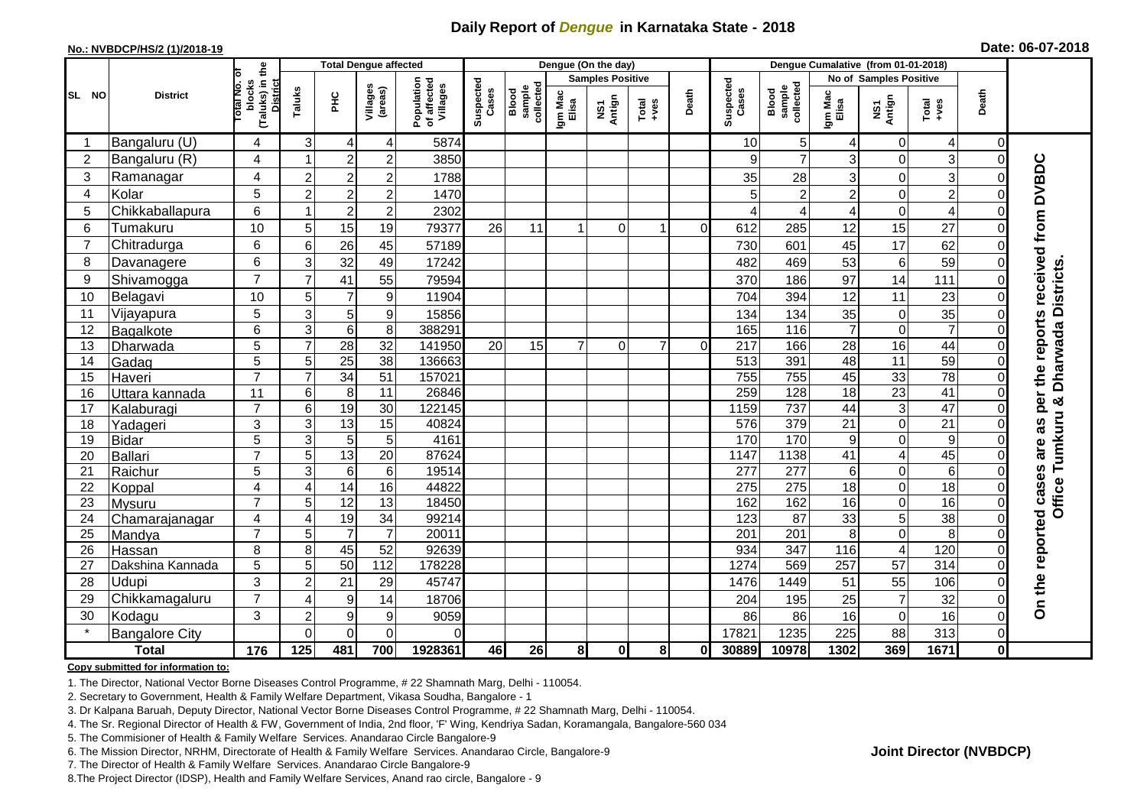## **Daily Report of** *Dengue* **in Karnataka State - 2018**

#### **No.: NVBDCP/HS/2 (1)/2018-19**

|                | <b>District</b>       | the                                 | <b>Total Dengue affected</b> |                  |                     |                                       |                    |                              |                         | Dengue (On the day) |                  |             |                    |                              |                        |                         |                         |              |                                     |
|----------------|-----------------------|-------------------------------------|------------------------------|------------------|---------------------|---------------------------------------|--------------------|------------------------------|-------------------------|---------------------|------------------|-------------|--------------------|------------------------------|------------------------|-------------------------|-------------------------|--------------|-------------------------------------|
|                |                       | ō                                   |                              |                  |                     |                                       |                    |                              | <b>Samples Positive</b> |                     |                  |             |                    |                              | No of Samples Positive |                         |                         |              |                                     |
| ISL NO         |                       | (Taluks) in t<br>blocks<br>otal No. | Taluks                       | ŦЕ               | Villages<br>(areas) | Population<br>of affected<br>Villages | Suspected<br>Cases | Blood<br>sample<br>collected | Igm Mac<br>Elisa        | NS1<br>Antign       | $Tota$<br>$+ves$ | Death       | Suspected<br>Cases | collected<br>sample<br>Blood | Igm Mac<br>Elisa       | NS1<br>Antign           | Total<br>+ves           | Death        |                                     |
|                | Bangaluru (U)         | 4                                   | 3 <sup>1</sup>               | 4                | 4                   | 5874                                  |                    |                              |                         |                     |                  |             | 10                 | 5 <sup>1</sup>               | 4                      | 0                       | 4                       | 0            |                                     |
| $\overline{2}$ | Bangaluru (R)         | $\overline{4}$                      | 1                            | $\overline{c}$   | $\overline{c}$      | 3850                                  |                    |                              |                         |                     |                  |             | 9                  | $\overline{7}$               | 3                      | $\overline{0}$          | 3                       | $\Omega$     |                                     |
| 3              | Ramanagar             | 4                                   | $\overline{c}$               | $\overline{2}$   | $\mathbf 2$         | 1788                                  |                    |                              |                         |                     |                  |             | 35                 | 28                           | 3                      | $\mathbf 0$             | 3                       | $\Omega$     | per the reports received from DVBDC |
| $\overline{4}$ | Kolar                 | 5                                   | $\overline{c}$               | $\overline{c}$   | $\overline{c}$      | 1470                                  |                    |                              |                         |                     |                  |             | 5                  | $\overline{2}$               | $\overline{c}$         | $\mathbf 0$             | $\overline{2}$          | $\Omega$     |                                     |
| 5              | Chikkaballapura       | 6                                   |                              | $\overline{2}$   | $\overline{c}$      | 2302                                  |                    |                              |                         |                     |                  |             | ⊿                  | 4                            | 4                      | $\mathbf 0$             | $\overline{\mathbf{4}}$ | $\Omega$     |                                     |
| 6              | Tumakuru              | 10                                  | 5                            | 15               | 19                  | 79377                                 | 26                 | 11                           |                         | 0                   |                  | $\Omega$    | 612                | 285                          | 12                     | 15                      | 27                      | $\Omega$     |                                     |
| $\overline{7}$ | Chitradurga           | $6\phantom{1}$                      | 6                            | 26               | 45                  | 57189                                 |                    |                              |                         |                     |                  |             | 730                | 601                          | 45                     | 17                      | 62                      | $\Omega$     |                                     |
| 8              | Davanagere            | 6                                   | 3                            | 32               | 49                  | 17242                                 |                    |                              |                         |                     |                  |             | 482                | 469                          | 53                     | 6                       | 59                      | $\Omega$     |                                     |
| 9              | Shivamogga            | $\overline{7}$                      | $\overline{7}$               | 41               | 55                  | 79594                                 |                    |                              |                         |                     |                  |             | 370                | 186                          | 97                     | 14                      | 111                     | $\Omega$     |                                     |
| 10             | Belagavi              | 10                                  | 5                            | $\overline{7}$   | $\boldsymbol{9}$    | 11904                                 |                    |                              |                         |                     |                  |             | 704                | 394                          | 12                     | 11                      | 23                      | $\Omega$     | <b>Districts</b>                    |
| 11             | Vijayapura            | 5                                   | 3                            | $\mathbf 5$      | $9$                 | 15856                                 |                    |                              |                         |                     |                  |             | 134                | 134                          | 35                     | $\mathbf 0$             | 35                      | $\Omega$     |                                     |
| 12             | Bagalkote             | $6\phantom{1}$                      | ω                            | $\overline{6}$   | $\overline{8}$      | 388291                                |                    |                              |                         |                     |                  |             | 165                | 116                          | $\overline{7}$         | $\mathbf 0$             | $\overline{7}$          | $\Omega$     |                                     |
| 13             | Dharwada              | 5                                   | $\overline{7}$               | 28               | $\overline{32}$     | 141950                                | 20                 | 15                           |                         | $\Omega$            | $\overline{7}$   | $\mathbf 0$ | $\overline{217}$   | 166                          | 28                     | 16                      | 44                      | $\Omega$     | <b>Dharwada</b>                     |
| 14             | Gadag                 | $\overline{5}$                      | 5                            | $\overline{25}$  | $\overline{38}$     | 136663                                |                    |                              |                         |                     |                  |             | 513                | 391                          | 48                     | $\overline{11}$         | 59                      | $\Omega$     |                                     |
| 15             | Haveri                | $\overline{7}$                      | $\overline{7}$               | $\overline{34}$  | 51                  | 157021                                |                    |                              |                         |                     |                  |             | 755                | 755                          | 45                     | 33                      | $\overline{78}$         | $\Omega$     |                                     |
| 16             | Uttara kannada        | 11                                  | $6\phantom{.}$               | 8                | $\overline{11}$     | 26846                                 |                    |                              |                         |                     |                  |             | 259                | 128                          | $\overline{18}$        | 23                      | 41                      | $\Omega$     | න්                                  |
| 17             | Kalaburagi            | $\overline{7}$                      | $\overline{6}$               | 19               | $\overline{30}$     | 122145                                |                    |                              |                         |                     |                  |             | 1159               | 737                          | 44                     | $\overline{3}$          | 47                      | $\Omega$     |                                     |
| 18             | Yadageri              | 3                                   | 3                            | $\overline{13}$  | 15                  | 40824                                 |                    |                              |                         |                     |                  |             | 576                | 379                          | 21                     | $\mathbf 0$             | $\overline{21}$         |              | 8g                                  |
| 19             | <b>Bidar</b>          | 5                                   | 3                            | 5                | $5\phantom{.0}$     | 4161                                  |                    |                              |                         |                     |                  |             | 170                | 170                          | 9                      | $\overline{0}$          | 9                       |              | Tumkuru<br>are                      |
| 20             | Ballari               | $\overline{7}$                      | 5                            | 13               | $\overline{20}$     | 87624                                 |                    |                              |                         |                     |                  |             | 1147               | 1138                         | 41                     | $\overline{4}$          | 45                      |              |                                     |
| 21             | Raichur               | 5                                   | 3                            | $\,6$            | $\,6$               | 19514                                 |                    |                              |                         |                     |                  |             | 277                | 277                          | 6                      | $\mathbf 0$             | 6                       | $\Omega$     |                                     |
| 22             | Koppal                | 4                                   | $\overline{4}$               | 14               | 16                  | 44822                                 |                    |                              |                         |                     |                  |             | 275                | 275                          | 18                     | $\mathbf 0$             | 18                      | $\Omega$     |                                     |
| 23             | Mysuru                | $\overline{7}$                      | 5                            | 12               | $\overline{13}$     | 18450                                 |                    |                              |                         |                     |                  |             | 162                | 162                          | 16                     | $\mathbf 0$             | 16                      | $\Omega$     | Office                              |
| 24             | Chamarajanagar        | 4                                   | 4                            | 19               | 34                  | 99214                                 |                    |                              |                         |                     |                  |             | 123                | 87                           | 33                     | 5                       | $\overline{38}$         | $\Omega$     |                                     |
| 25             | Mandya                | $\overline{7}$                      | 5                            | $\overline{7}$   | $\overline{7}$      | 20011                                 |                    |                              |                         |                     |                  |             | 201                | 201                          | 8                      | $\mathbf 0$             | 8                       | $\Omega$     |                                     |
| 26             | Hassan                | 8                                   | 8                            | 45               | 52                  | 92639                                 |                    |                              |                         |                     |                  |             | 934                | 347                          | 116                    | $\overline{\mathbf{4}}$ | 120                     | $\Omega$     |                                     |
| 27             | Dakshina Kannada      | 5                                   | $\overline{5}$               | 50               | $\frac{11}{2}$      | 178228                                |                    |                              |                         |                     |                  |             | 1274               | 569                          | 257                    | 57                      | 314                     | $\Omega$     | On the reported cases               |
| 28             | Udupi                 | 3                                   | $\overline{c}$               | 21               | 29                  | 45747                                 |                    |                              |                         |                     |                  |             | 1476               | 1449                         | 51                     | 55                      | 106                     | $\Omega$     |                                     |
| 29             | Chikkamagaluru        | $\overline{7}$                      | 4                            | $\boldsymbol{9}$ | 14                  | 18706                                 |                    |                              |                         |                     |                  |             | 204                | 195                          | 25                     | $\overline{7}$          | 32                      | $\Omega$     |                                     |
| 30             | Kodagu                | 3                                   | $\overline{c}$               | 9                | $9$                 | 9059                                  |                    |                              |                         |                     |                  |             | 86                 | 86                           | 16                     | $\mathbf 0$             | 16                      | $\Omega$     |                                     |
|                | <b>Bangalore City</b> |                                     | $\Omega$                     | $\overline{0}$   | $\mathbf 0$         | $\Omega$                              |                    |                              |                         |                     |                  |             | 17821              | 1235                         | 225                    | 88                      | 313                     | $\Omega$     |                                     |
| <b>Total</b>   |                       | 176                                 | 125                          | 481              | 700                 | 1928361                               | 46                 | 26                           | 8                       | $\mathbf{0}$        | 8 <sup>1</sup>   | 0l          | 30889              | 10978                        | 1302                   | 369                     | 1671                    | $\mathbf{0}$ |                                     |

#### **Copy submitted for information to:**

1. The Director, National Vector Borne Diseases Control Programme, # 22 Shamnath Marg, Delhi - 110054.

2. Secretary to Government, Health & Family Welfare Department, Vikasa Soudha, Bangalore - 1

3. Dr Kalpana Baruah, Deputy Director, National Vector Borne Diseases Control Programme, # 22 Shamnath Marg, Delhi - 110054.

4. The Sr. Regional Director of Health & FW, Government of India, 2nd floor, 'F' Wing, Kendriya Sadan, Koramangala, Bangalore-560 034

5. The Commisioner of Health & Family Welfare Services. Anandarao Circle Bangalore-9

6. The Mission Director, NRHM, Directorate of Health & Family Welfare Services. Anandarao Circle, Bangalore-9

7. The Director of Health & Family Welfare Services. Anandarao Circle Bangalore-9

8.The Project Director (IDSP), Health and Family Welfare Services, Anand rao circle, Bangalore - 9